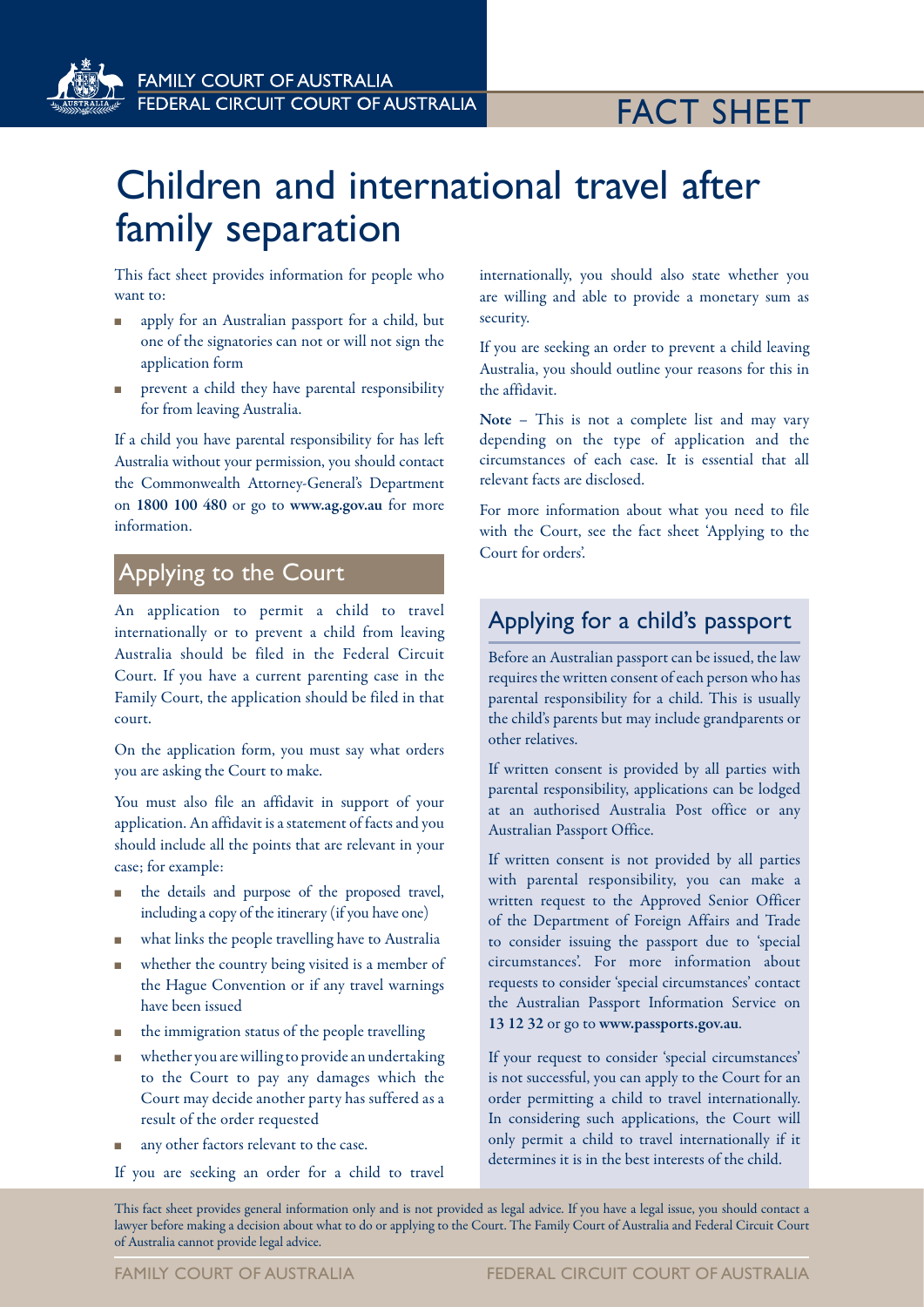**FAMILY COURT OF AUSTRALIA FEDERAL CIRCUIT COURT OF AUSTRALIA** 

# FACT SHEET

# Children and international travel after family separation

This fact sheet provides information for people who want to:

- n apply for an Australian passport for a child, but one of the signatories can not or will not sign the application form
- n prevent a child they have parental responsibility for from leaving Australia.

If a child you have parental responsibility for has left Australia without your permission, you should contact the Commonwealth Attorney-General's Department on 1800 100 480 or go to www.ag.gov.au for more information.

## Applying to the Court

An application to permit a child to travel internationally or to prevent a child from leaving Australia should be filed in the Federal Circuit Court. If you have a current parenting case in the Family Court, the application should be filed in that court.

On the application form, you must say what orders you are asking the Court to make.

You must also file an affidavit in support of your application. An affidavit is a statement of facts and you should include all the points that are relevant in your case; for example:

- the details and purpose of the proposed travel, including a copy of the itinerary (if you have one)
- <sup>n</sup> what links the people travelling have to Australia
- <sup>n</sup> whether the country being visited is a member of the Hague Convention or if any travel warnings have been issued
- $\blacksquare$  the immigration status of the people travelling
- <sup>n</sup> whether you are willing to provide an undertaking to the Court to pay any damages which the Court may decide another party has suffered as a result of the order requested
- any other factors relevant to the case.
- If you are seeking an order for a child to travel

internationally, you should also state whether you are willing and able to provide a monetary sum as security.

If you are seeking an order to prevent a child leaving Australia, you should outline your reasons for this in the affidavit.

Note – This is not a complete list and may vary depending on the type of application and the circumstances of each case. It is essential that all relevant facts are disclosed.

For more information about what you need to file with the Court, see the fact sheet 'Applying to the Court for orders'.

## Applying for a child's passport

Before an Australian passport can be issued, the law requires the written consent of each person who has parental responsibility for a child. This is usually the child's parents but may include grandparents or other relatives.

If written consent is provided by all parties with parental responsibility, applications can be lodged at an authorised Australia Post office or any Australian Passport Office.

If written consent is not provided by all parties with parental responsibility, you can make a written request to the Approved Senior Officer of the Department of Foreign Affairs and Trade to consider issuing the passport due to 'special circumstances'. For more information about requests to consider 'special circumstances' contact the Australian Passport Information Service on 13 12 32 or go to www.passports.gov.au.

If your request to consider 'special circumstances' is not successful, you can apply to the Court for an order permitting a child to travel internationally. In considering such applications, the Court will only permit a child to travel internationally if it determines it is in the best interests of the child.

This fact sheet provides general information only and is not provided as legal advice. If you have a legal issue, you should contact a lawyer before making a decision about what to do or applying to the Court. The Family Court of Australia and Federal Circuit Court of Australia cannot provide legal advice.